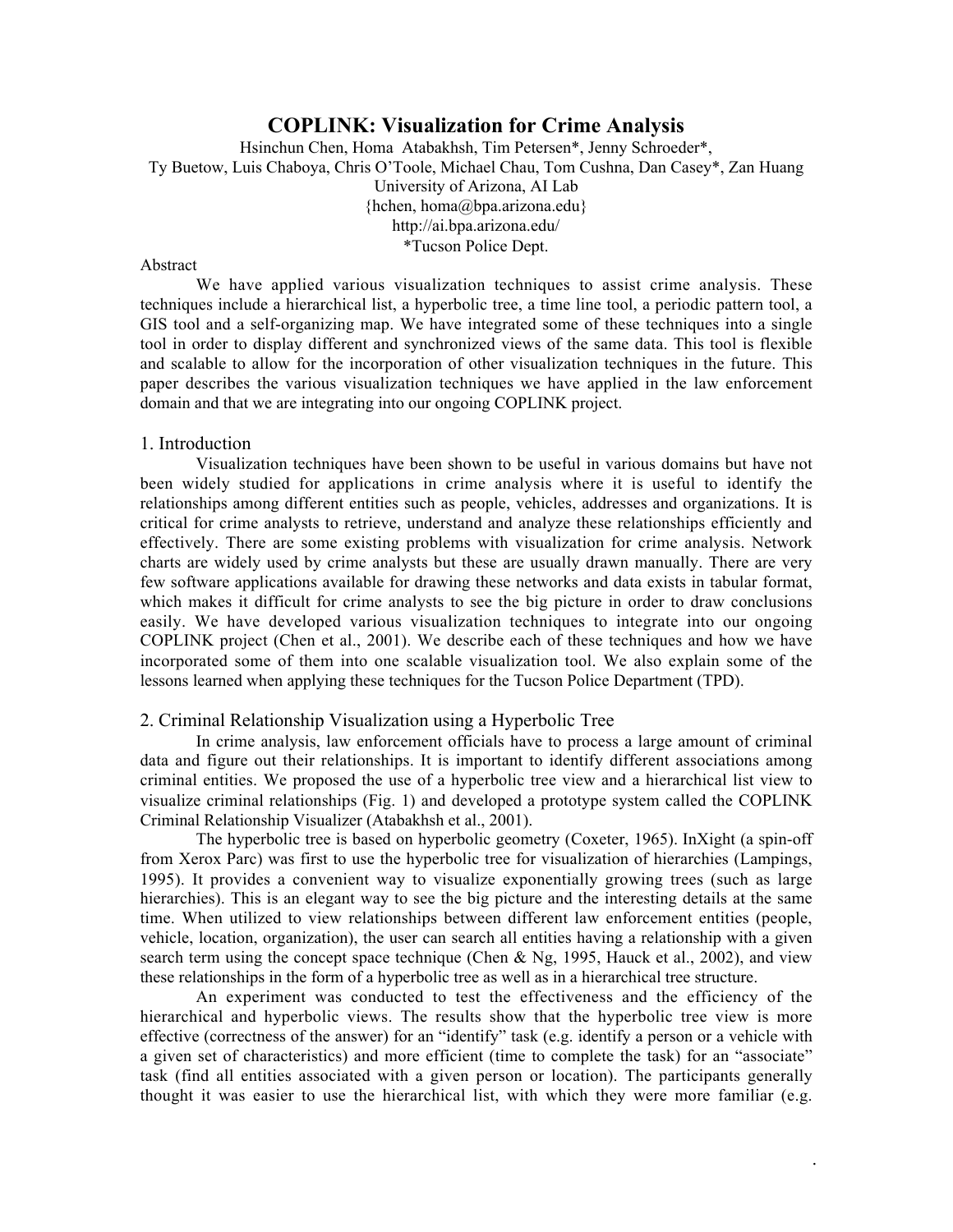# **COPLINK: Visualization for Crime Analysis**

Hsinchun Chen, Homa Atabakhsh, Tim Petersen\*, Jenny Schroeder\*, Ty Buetow, Luis Chaboya, Chris O'Toole, Michael Chau, Tom Cushna, Dan Casey\*, Zan Huang University of Arizona, AI Lab {hchen, homa@bpa.arizona.edu} http://ai.bpa.arizona.edu/ \*Tucson Police Dept.

# Abstract

We have applied various visualization techniques to assist crime analysis. These techniques include a hierarchical list, a hyperbolic tree, a time line tool, a periodic pattern tool, a GIS tool and a self-organizing map. We have integrated some of these techniques into a single tool in order to display different and synchronized views of the same data. This tool is flexible and scalable to allow for the incorporation of other visualization techniques in the future. This paper describes the various visualization techniques we have applied in the law enforcement domain and that we are integrating into our ongoing COPLINK project.

#### 1. Introduction

Visualization techniques have been shown to be useful in various domains but have not been widely studied for applications in crime analysis where it is useful to identify the relationships among different entities such as people, vehicles, addresses and organizations. It is critical for crime analysts to retrieve, understand and analyze these relationships efficiently and effectively. There are some existing problems with visualization for crime analysis. Network charts are widely used by crime analysts but these are usually drawn manually. There are very few software applications available for drawing these networks and data exists in tabular format, which makes it difficult for crime analysts to see the big picture in order to draw conclusions easily. We have developed various visualization techniques to integrate into our ongoing COPLINK project (Chen et al., 2001). We describe each of these techniques and how we have incorporated some of them into one scalable visualization tool. We also explain some of the lessons learned when applying these techniques for the Tucson Police Department (TPD).

# 2. Criminal Relationship Visualization using a Hyperbolic Tree

In crime analysis, law enforcement officials have to process a large amount of criminal data and figure out their relationships. It is important to identify different associations among criminal entities. We proposed the use of a hyperbolic tree view and a hierarchical list view to visualize criminal relationships (Fig. 1) and developed a prototype system called the COPLINK Criminal Relationship Visualizer (Atabakhsh et al., 2001).

The hyperbolic tree is based on hyperbolic geometry (Coxeter, 1965). InXight (a spin-off from Xerox Parc) was first to use the hyperbolic tree for visualization of hierarchies (Lampings, 1995). It provides a convenient way to visualize exponentially growing trees (such as large hierarchies). This is an elegant way to see the big picture and the interesting details at the same time. When utilized to view relationships between different law enforcement entities (people, vehicle, location, organization), the user can search all entities having a relationship with a given search term using the concept space technique (Chen & Ng, 1995, Hauck et al., 2002), and view these relationships in the form of a hyperbolic tree as well as in a hierarchical tree structure.

An experiment was conducted to test the effectiveness and the efficiency of the hierarchical and hyperbolic views. The results show that the hyperbolic tree view is more effective (correctness of the answer) for an "identify" task (e.g. identify a person or a vehicle with a given set of characteristics) and more efficient (time to complete the task) for an "associate" task (find all entities associated with a given person or location). The participants generally thought it was easier to use the hierarchical list, with which they were more familiar (e.g.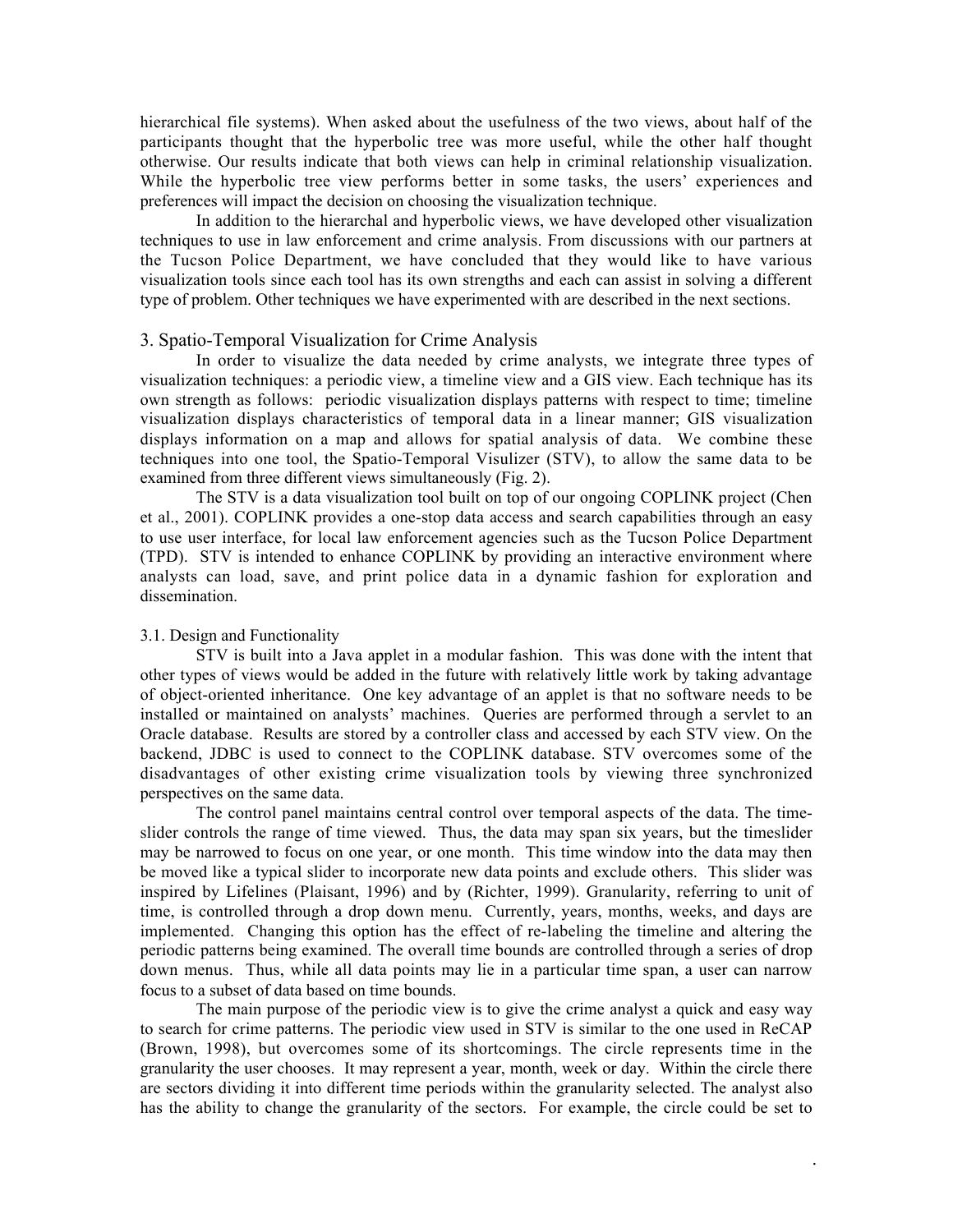hierarchical file systems). When asked about the usefulness of the two views, about half of the participants thought that the hyperbolic tree was more useful, while the other half thought otherwise. Our results indicate that both views can help in criminal relationship visualization. While the hyperbolic tree view performs better in some tasks, the users' experiences and preferences will impact the decision on choosing the visualization technique.

In addition to the hierarchal and hyperbolic views, we have developed other visualization techniques to use in law enforcement and crime analysis. From discussions with our partners at the Tucson Police Department, we have concluded that they would like to have various visualization tools since each tool has its own strengths and each can assist in solving a different type of problem. Other techniques we have experimented with are described in the next sections.

# 3. Spatio-Temporal Visualization for Crime Analysis

In order to visualize the data needed by crime analysts, we integrate three types of visualization techniques: a periodic view, a timeline view and a GIS view. Each technique has its own strength as follows: periodic visualization displays patterns with respect to time; timeline visualization displays characteristics of temporal data in a linear manner; GIS visualization displays information on a map and allows for spatial analysis of data. We combine these techniques into one tool, the Spatio-Temporal Visulizer (STV), to allow the same data to be examined from three different views simultaneously (Fig. 2).

The STV is a data visualization tool built on top of our ongoing COPLINK project (Chen et al., 2001). COPLINK provides a one-stop data access and search capabilities through an easy to use user interface, for local law enforcement agencies such as the Tucson Police Department (TPD). STV is intended to enhance COPLINK by providing an interactive environment where analysts can load, save, and print police data in a dynamic fashion for exploration and dissemination.

### 3.1. Design and Functionality

STV is built into a Java applet in a modular fashion. This was done with the intent that other types of views would be added in the future with relatively little work by taking advantage of object-oriented inheritance. One key advantage of an applet is that no software needs to be installed or maintained on analysts' machines. Queries are performed through a servlet to an Oracle database. Results are stored by a controller class and accessed by each STV view. On the backend, JDBC is used to connect to the COPLINK database. STV overcomes some of the disadvantages of other existing crime visualization tools by viewing three synchronized perspectives on the same data.

The control panel maintains central control over temporal aspects of the data. The timeslider controls the range of time viewed. Thus, the data may span six years, but the timeslider may be narrowed to focus on one year, or one month. This time window into the data may then be moved like a typical slider to incorporate new data points and exclude others. This slider was inspired by Lifelines (Plaisant, 1996) and by (Richter, 1999). Granularity, referring to unit of time, is controlled through a drop down menu. Currently, years, months, weeks, and days are implemented. Changing this option has the effect of re-labeling the timeline and altering the periodic patterns being examined. The overall time bounds are controlled through a series of drop down menus. Thus, while all data points may lie in a particular time span, a user can narrow focus to a subset of data based on time bounds.

The main purpose of the periodic view is to give the crime analyst a quick and easy way to search for crime patterns. The periodic view used in STV is similar to the one used in ReCAP (Brown, 1998), but overcomes some of its shortcomings. The circle represents time in the granularity the user chooses. It may represent a year, month, week or day. Within the circle there are sectors dividing it into different time periods within the granularity selected. The analyst also has the ability to change the granularity of the sectors. For example, the circle could be set to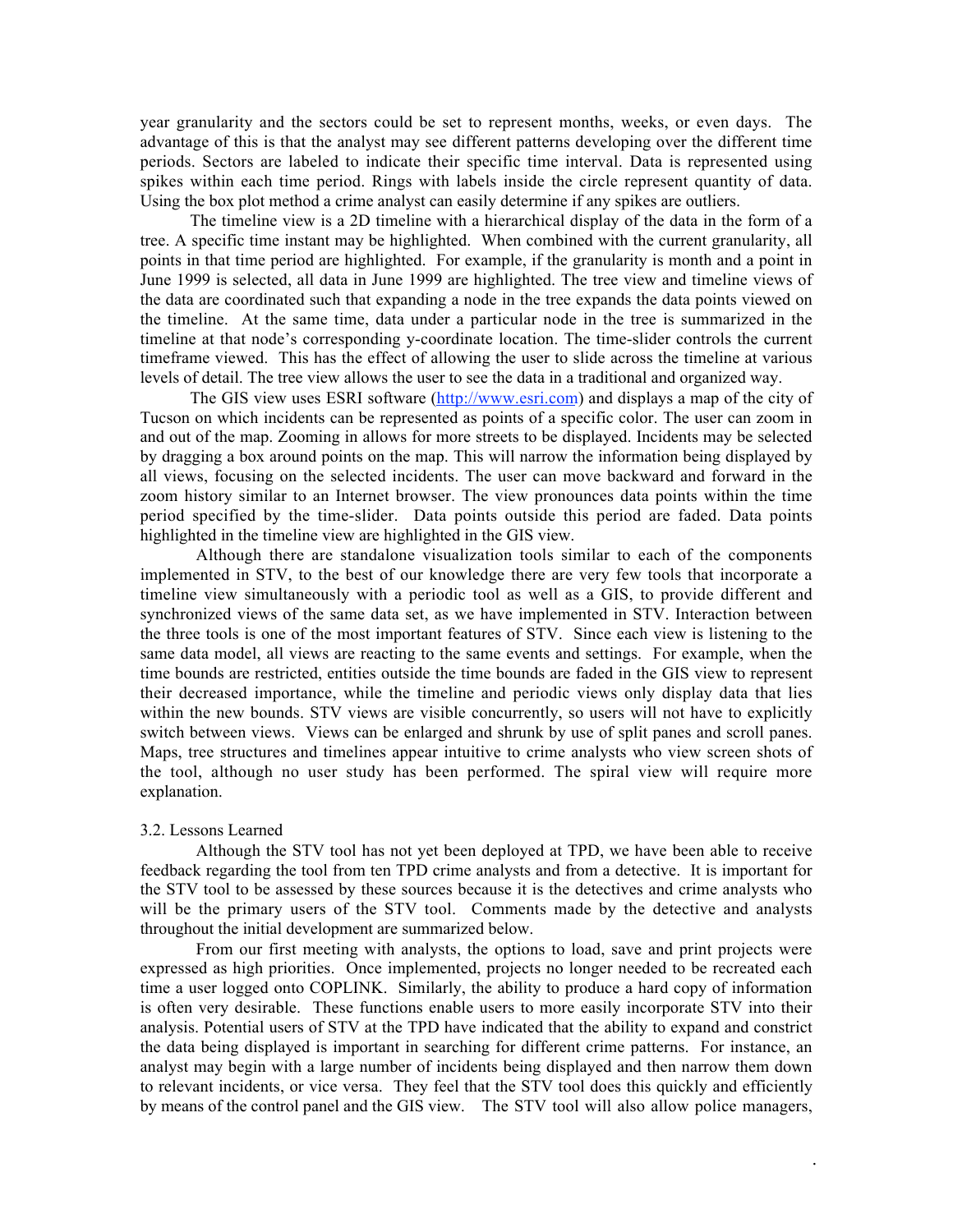year granularity and the sectors could be set to represent months, weeks, or even days. The advantage of this is that the analyst may see different patterns developing over the different time periods. Sectors are labeled to indicate their specific time interval. Data is represented using spikes within each time period. Rings with labels inside the circle represent quantity of data. Using the box plot method a crime analyst can easily determine if any spikes are outliers.

The timeline view is a 2D timeline with a hierarchical display of the data in the form of a tree. A specific time instant may be highlighted. When combined with the current granularity, all points in that time period are highlighted. For example, if the granularity is month and a point in June 1999 is selected, all data in June 1999 are highlighted. The tree view and timeline views of the data are coordinated such that expanding a node in the tree expands the data points viewed on the timeline. At the same time, data under a particular node in the tree is summarized in the timeline at that node's corresponding y-coordinate location. The time-slider controls the current timeframe viewed. This has the effect of allowing the user to slide across the timeline at various levels of detail. The tree view allows the user to see the data in a traditional and organized way.

The GIS view uses ESRI software (http://www.esri.com) and displays a map of the city of Tucson on which incidents can be represented as points of a specific color. The user can zoom in and out of the map. Zooming in allows for more streets to be displayed. Incidents may be selected by dragging a box around points on the map. This will narrow the information being displayed by all views, focusing on the selected incidents. The user can move backward and forward in the zoom history similar to an Internet browser. The view pronounces data points within the time period specified by the time-slider. Data points outside this period are faded. Data points highlighted in the timeline view are highlighted in the GIS view.

Although there are standalone visualization tools similar to each of the components implemented in STV, to the best of our knowledge there are very few tools that incorporate a timeline view simultaneously with a periodic tool as well as a GIS, to provide different and synchronized views of the same data set, as we have implemented in STV. Interaction between the three tools is one of the most important features of STV. Since each view is listening to the same data model, all views are reacting to the same events and settings. For example, when the time bounds are restricted, entities outside the time bounds are faded in the GIS view to represent their decreased importance, while the timeline and periodic views only display data that lies within the new bounds. STV views are visible concurrently, so users will not have to explicitly switch between views. Views can be enlarged and shrunk by use of split panes and scroll panes. Maps, tree structures and timelines appear intuitive to crime analysts who view screen shots of the tool, although no user study has been performed. The spiral view will require more explanation.

#### 3.2. Lessons Learned

Although the STV tool has not yet been deployed at TPD, we have been able to receive feedback regarding the tool from ten TPD crime analysts and from a detective. It is important for the STV tool to be assessed by these sources because it is the detectives and crime analysts who will be the primary users of the STV tool. Comments made by the detective and analysts throughout the initial development are summarized below.

From our first meeting with analysts, the options to load, save and print projects were expressed as high priorities. Once implemented, projects no longer needed to be recreated each time a user logged onto COPLINK. Similarly, the ability to produce a hard copy of information is often very desirable. These functions enable users to more easily incorporate STV into their analysis. Potential users of STV at the TPD have indicated that the ability to expand and constrict the data being displayed is important in searching for different crime patterns. For instance, an analyst may begin with a large number of incidents being displayed and then narrow them down to relevant incidents, or vice versa. They feel that the STV tool does this quickly and efficiently by means of the control panel and the GIS view. The STV tool will also allow police managers,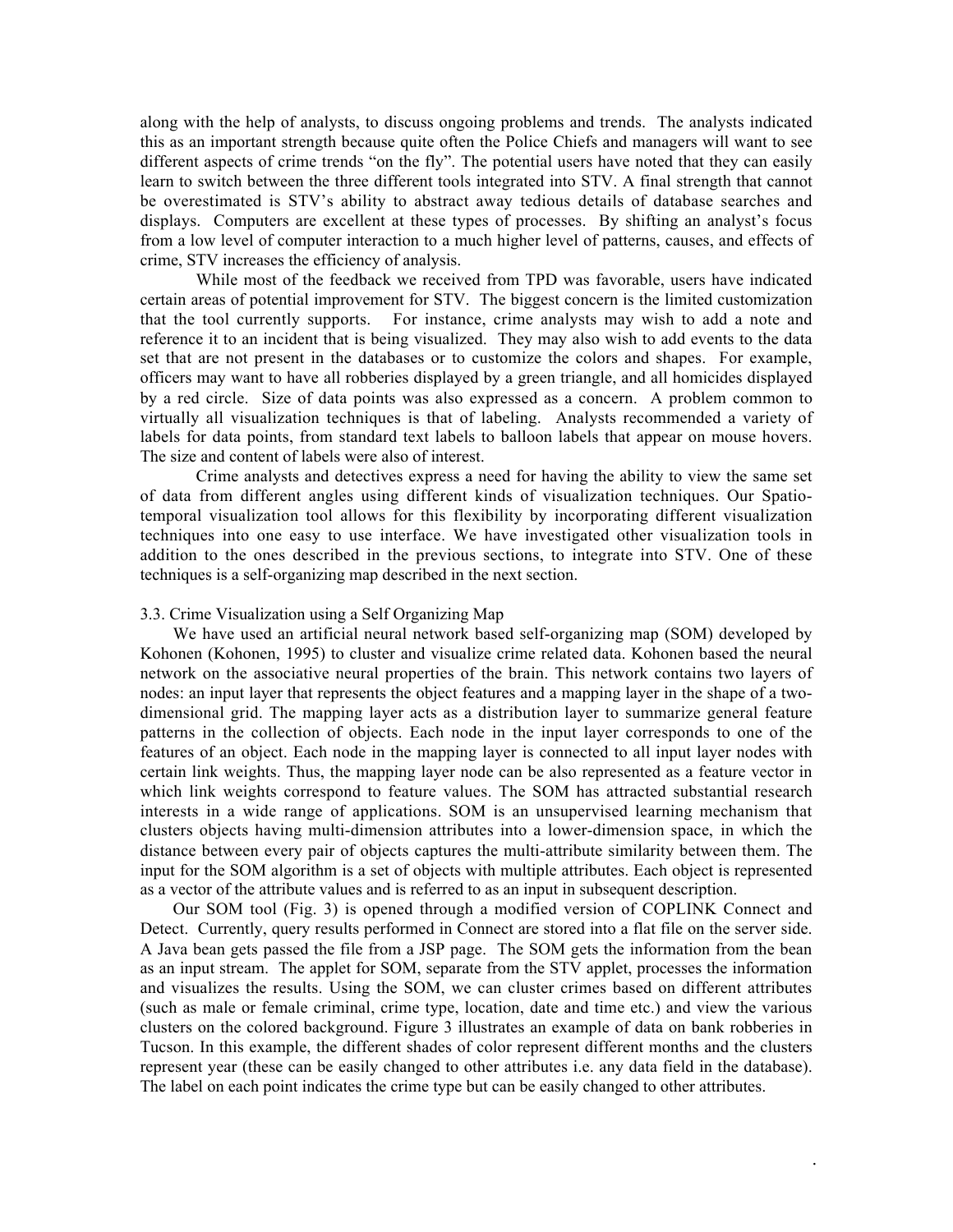along with the help of analysts, to discuss ongoing problems and trends. The analysts indicated this as an important strength because quite often the Police Chiefs and managers will want to see different aspects of crime trends "on the fly". The potential users have noted that they can easily learn to switch between the three different tools integrated into STV. A final strength that cannot be overestimated is STV's ability to abstract away tedious details of database searches and displays. Computers are excellent at these types of processes. By shifting an analyst's focus from a low level of computer interaction to a much higher level of patterns, causes, and effects of crime, STV increases the efficiency of analysis.

While most of the feedback we received from TPD was favorable, users have indicated certain areas of potential improvement for STV. The biggest concern is the limited customization that the tool currently supports. For instance, crime analysts may wish to add a note and reference it to an incident that is being visualized. They may also wish to add events to the data set that are not present in the databases or to customize the colors and shapes. For example, officers may want to have all robberies displayed by a green triangle, and all homicides displayed by a red circle. Size of data points was also expressed as a concern. A problem common to virtually all visualization techniques is that of labeling. Analysts recommended a variety of labels for data points, from standard text labels to balloon labels that appear on mouse hovers. The size and content of labels were also of interest.

Crime analysts and detectives express a need for having the ability to view the same set of data from different angles using different kinds of visualization techniques. Our Spatiotemporal visualization tool allows for this flexibility by incorporating different visualization techniques into one easy to use interface. We have investigated other visualization tools in addition to the ones described in the previous sections, to integrate into STV. One of these techniques is a self-organizing map described in the next section.

#### 3.3. Crime Visualization using a Self Organizing Map

We have used an artificial neural network based self-organizing map (SOM) developed by Kohonen (Kohonen, 1995) to cluster and visualize crime related data. Kohonen based the neural network on the associative neural properties of the brain. This network contains two layers of nodes: an input layer that represents the object features and a mapping layer in the shape of a twodimensional grid. The mapping layer acts as a distribution layer to summarize general feature patterns in the collection of objects. Each node in the input layer corresponds to one of the features of an object. Each node in the mapping layer is connected to all input layer nodes with certain link weights. Thus, the mapping layer node can be also represented as a feature vector in which link weights correspond to feature values. The SOM has attracted substantial research interests in a wide range of applications. SOM is an unsupervised learning mechanism that clusters objects having multi-dimension attributes into a lower-dimension space, in which the distance between every pair of objects captures the multi-attribute similarity between them. The input for the SOM algorithm is a set of objects with multiple attributes. Each object is represented as a vector of the attribute values and is referred to as an input in subsequent description.

Our SOM tool (Fig. 3) is opened through a modified version of COPLINK Connect and Detect. Currently, query results performed in Connect are stored into a flat file on the server side. A Java bean gets passed the file from a JSP page. The SOM gets the information from the bean as an input stream. The applet for SOM, separate from the STV applet, processes the information and visualizes the results. Using the SOM, we can cluster crimes based on different attributes (such as male or female criminal, crime type, location, date and time etc.) and view the various clusters on the colored background. Figure 3 illustrates an example of data on bank robberies in Tucson. In this example, the different shades of color represent different months and the clusters represent year (these can be easily changed to other attributes i.e. any data field in the database). The label on each point indicates the crime type but can be easily changed to other attributes.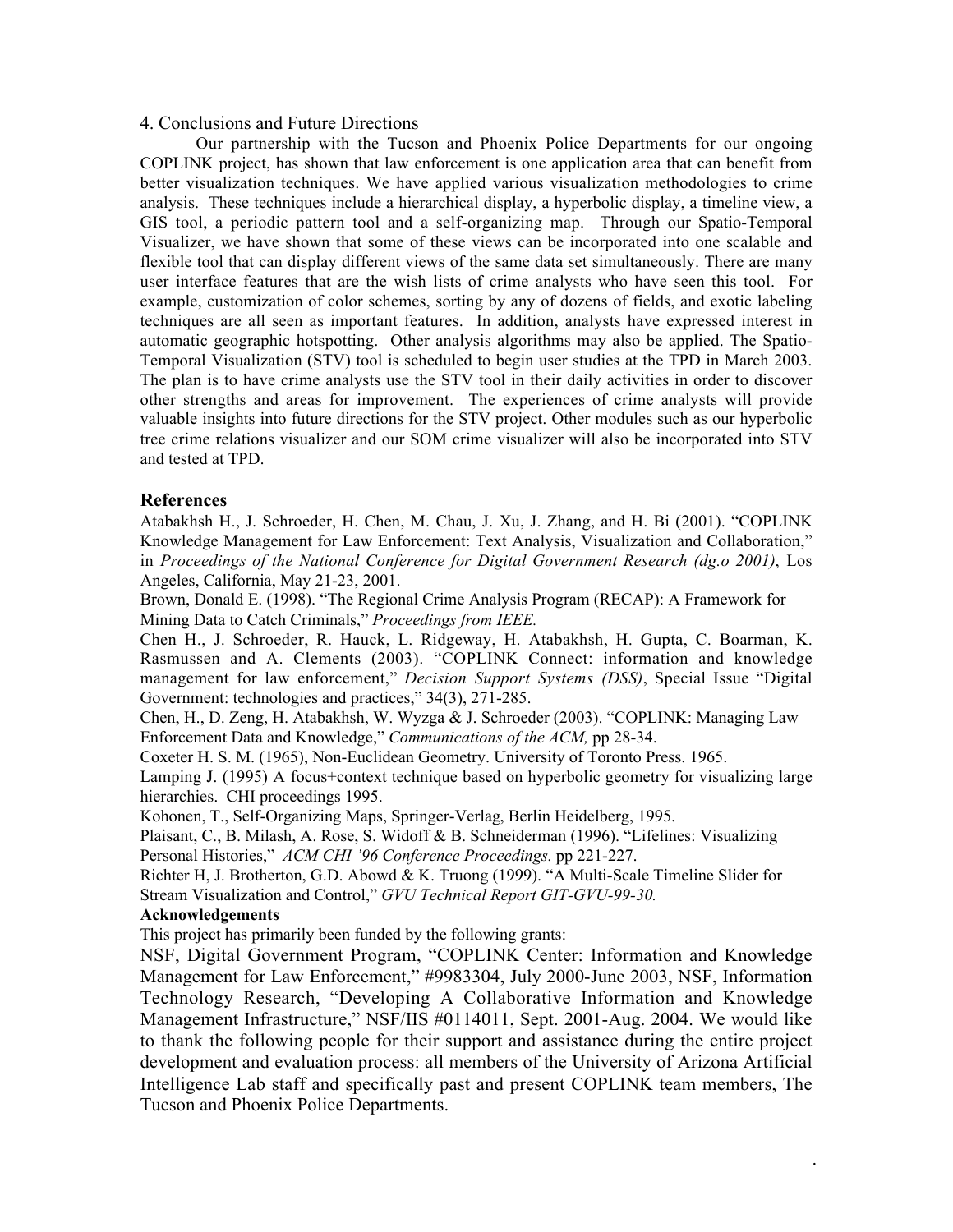## 4. Conclusions and Future Directions

Our partnership with the Tucson and Phoenix Police Departments for our ongoing COPLINK project, has shown that law enforcement is one application area that can benefit from better visualization techniques. We have applied various visualization methodologies to crime analysis. These techniques include a hierarchical display, a hyperbolic display, a timeline view, a GIS tool, a periodic pattern tool and a self-organizing map. Through our Spatio-Temporal Visualizer, we have shown that some of these views can be incorporated into one scalable and flexible tool that can display different views of the same data set simultaneously. There are many user interface features that are the wish lists of crime analysts who have seen this tool. For example, customization of color schemes, sorting by any of dozens of fields, and exotic labeling techniques are all seen as important features. In addition, analysts have expressed interest in automatic geographic hotspotting. Other analysis algorithms may also be applied. The Spatio-Temporal Visualization (STV) tool is scheduled to begin user studies at the TPD in March 2003. The plan is to have crime analysts use the STV tool in their daily activities in order to discover other strengths and areas for improvement. The experiences of crime analysts will provide valuable insights into future directions for the STV project. Other modules such as our hyperbolic tree crime relations visualizer and our SOM crime visualizer will also be incorporated into STV and tested at TPD.

# **References**

Atabakhsh H., J. Schroeder, H. Chen, M. Chau, J. Xu, J. Zhang, and H. Bi (2001). "COPLINK Knowledge Management for Law Enforcement: Text Analysis, Visualization and Collaboration," in *Proceedings of the National Conference for Digital Government Research (dg.o 2001)*, Los Angeles, California, May 21-23, 2001.

Brown, Donald E. (1998). "The Regional Crime Analysis Program (RECAP): A Framework for Mining Data to Catch Criminals," *Proceedings from IEEE.*

Chen H., J. Schroeder, R. Hauck, L. Ridgeway, H. Atabakhsh, H. Gupta, C. Boarman, K. Rasmussen and A. Clements (2003). "COPLINK Connect: information and knowledge management for law enforcement," *Decision Support Systems (DSS)*, Special Issue "Digital Government: technologies and practices," 34(3), 271-285.

Chen, H., D. Zeng, H. Atabakhsh, W. Wyzga & J. Schroeder (2003). "COPLINK: Managing Law Enforcement Data and Knowledge," *Communications of the ACM,* pp 28-34.

Coxeter H. S. M. (1965), Non-Euclidean Geometry. University of Toronto Press. 1965.

Lamping J. (1995) A focus+context technique based on hyperbolic geometry for visualizing large hierarchies. CHI proceedings 1995.

Kohonen, T., Self-Organizing Maps, Springer-Verlag, Berlin Heidelberg, 1995.

Plaisant, C., B. Milash, A. Rose, S. Widoff & B. Schneiderman (1996). "Lifelines: Visualizing Personal Histories," *ACM CHI '96 Conference Proceedings.* pp 221-227.

Richter H, J. Brotherton, G.D. Abowd & K. Truong (1999). "A Multi-Scale Timeline Slider for Stream Visualization and Control," *GVU Technical Report GIT-GVU-99-30.*

# **Acknowledgements**

This project has primarily been funded by the following grants:

NSF, Digital Government Program, "COPLINK Center: Information and Knowledge Management for Law Enforcement," #9983304, July 2000-June 2003, NSF, Information Technology Research, "Developing A Collaborative Information and Knowledge Management Infrastructure," NSF/IIS #0114011, Sept. 2001-Aug. 2004. We would like to thank the following people for their support and assistance during the entire project development and evaluation process: all members of the University of Arizona Artificial Intelligence Lab staff and specifically past and present COPLINK team members, The Tucson and Phoenix Police Departments.